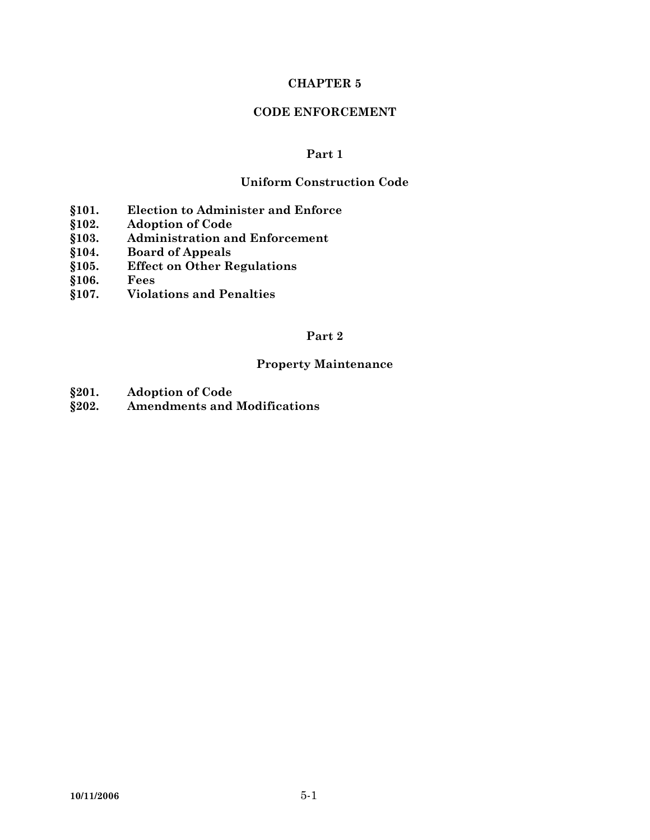# **CHAPTER 5**

# **CODE ENFORCEMENT**

# **Part 1**

# **Uniform Construction Code**

- **§101. Election to Administer and Enforce**
- **§102. Adoption of Code**
- **§103. Administration and Enforcement**
- **§104. Board of Appeals**
- **§105. Effect on Other Regulations**
- **§106. Fees**
- **§107. Violations and Penalties**

# **Part 2**

# **Property Maintenance**

- **§201. Adoption of Code**
- **§202. Amendments and Modifications**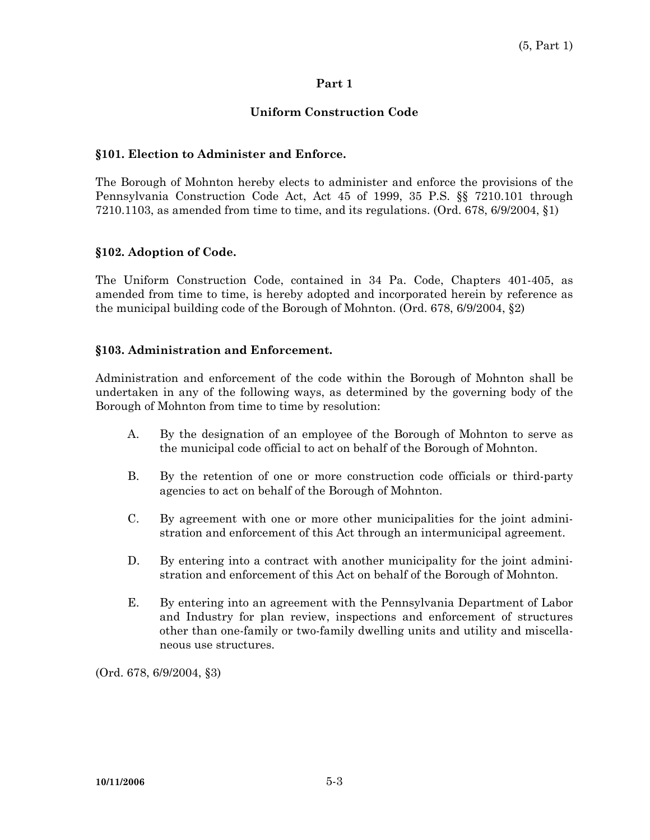# **Part 1**

# **Uniform Construction Code**

# **§101. Election to Administer and Enforce.**

The Borough of Mohnton hereby elects to administer and enforce the provisions of the Pennsylvania Construction Code Act, Act 45 of 1999, 35 P.S. §§ 7210.101 through 7210.1103, as amended from time to time, and its regulations. (Ord. 678, 6/9/2004,  $\S$ 1)

#### **§102. Adoption of Code.**

The Uniform Construction Code, contained in 34 Pa. Code, Chapters 401-405, as amended from time to time, is hereby adopted and incorporated herein by reference as the municipal building code of the Borough of Mohnton. (Ord. 678, 6/9/2004, §2)

#### **§103. Administration and Enforcement.**

Administration and enforcement of the code within the Borough of Mohnton shall be undertaken in any of the following ways, as determined by the governing body of the Borough of Mohnton from time to time by resolution:

- A. By the designation of an employee of the Borough of Mohnton to serve as the municipal code official to act on behalf of the Borough of Mohnton.
- B. By the retention of one or more construction code officials or third-party agencies to act on behalf of the Borough of Mohnton.
- C. By agreement with one or more other municipalities for the joint administration and enforcement of this Act through an intermunicipal agreement.
- D. By entering into a contract with another municipality for the joint administration and enforcement of this Act on behalf of the Borough of Mohnton.
- E. By entering into an agreement with the Pennsylvania Department of Labor and Industry for plan review, inspections and enforcement of structures other than one-family or two-family dwelling units and utility and miscellaneous use structures.

(Ord. 678, 6/9/2004, §3)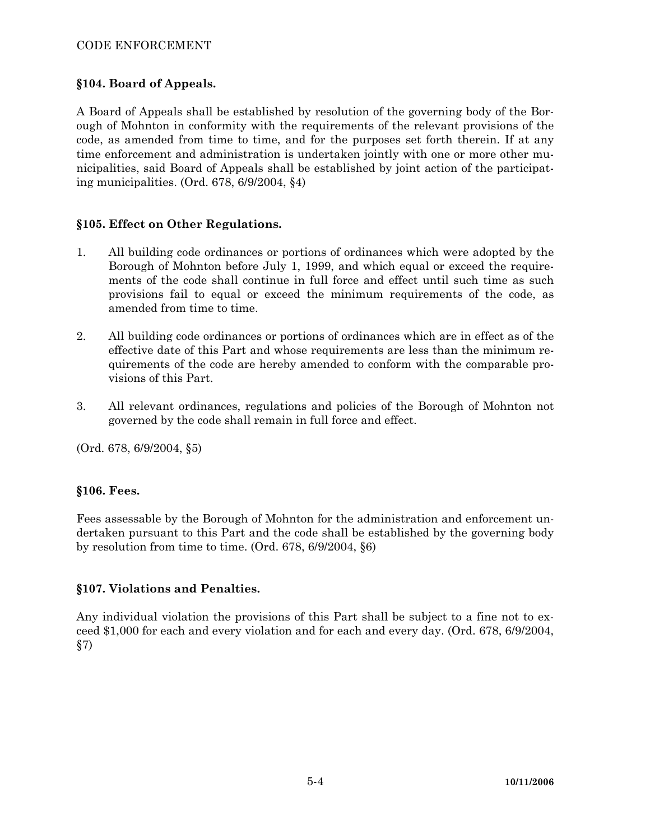# CODE ENFORCEMENT

# **§104. Board of Appeals.**

A Board of Appeals shall be established by resolution of the governing body of the Borough of Mohnton in conformity with the requirements of the relevant provisions of the code, as amended from time to time, and for the purposes set forth therein. If at any time enforcement and administration is undertaken jointly with one or more other municipalities, said Board of Appeals shall be established by joint action of the participating municipalities. (Ord. 678, 6/9/2004, §4)

#### **§105. Effect on Other Regulations.**

- 1. All building code ordinances or portions of ordinances which were adopted by the Borough of Mohnton before July 1, 1999, and which equal or exceed the requirements of the code shall continue in full force and effect until such time as such provisions fail to equal or exceed the minimum requirements of the code, as amended from time to time.
- 2. All building code ordinances or portions of ordinances which are in effect as of the effective date of this Part and whose requirements are less than the minimum requirements of the code are hereby amended to conform with the comparable provisions of this Part.
- 3. All relevant ordinances, regulations and policies of the Borough of Mohnton not governed by the code shall remain in full force and effect.

(Ord. 678, 6/9/2004, §5)

#### **§106. Fees.**

Fees assessable by the Borough of Mohnton for the administration and enforcement undertaken pursuant to this Part and the code shall be established by the governing body by resolution from time to time. (Ord. 678, 6/9/2004, §6)

# **§107. Violations and Penalties.**

Any individual violation the provisions of this Part shall be subject to a fine not to exceed \$1,000 for each and every violation and for each and every day. (Ord. 678, 6/9/2004, §7)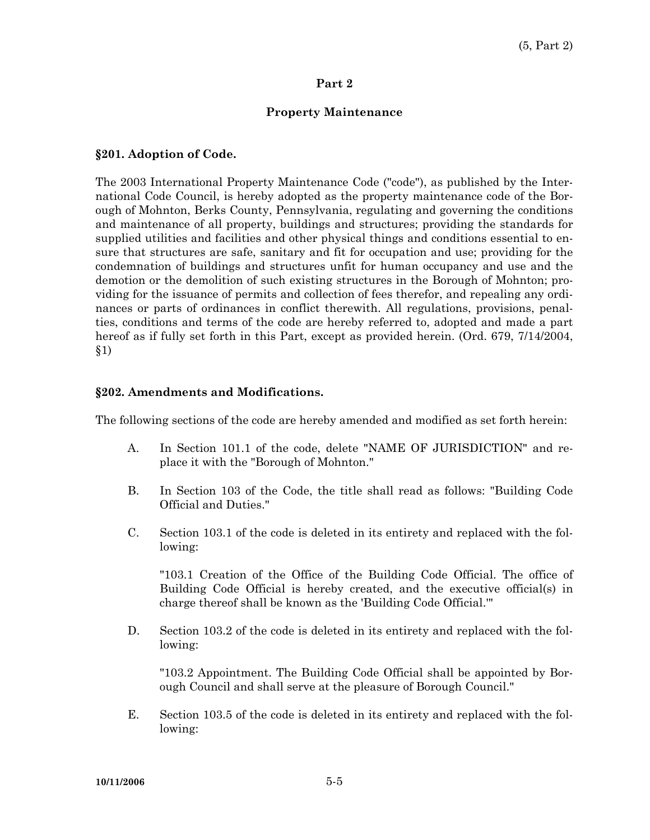#### **Part 2**

# **Property Maintenance**

#### **§201. Adoption of Code.**

The 2003 International Property Maintenance Code ("code"), as published by the International Code Council, is hereby adopted as the property maintenance code of the Borough of Mohnton, Berks County, Pennsylvania, regulating and governing the conditions and maintenance of all property, buildings and structures; providing the standards for supplied utilities and facilities and other physical things and conditions essential to ensure that structures are safe, sanitary and fit for occupation and use; providing for the condemnation of buildings and structures unfit for human occupancy and use and the demotion or the demolition of such existing structures in the Borough of Mohnton; providing for the issuance of permits and collection of fees therefor, and repealing any ordinances or parts of ordinances in conflict therewith. All regulations, provisions, penalties, conditions and terms of the code are hereby referred to, adopted and made a part hereof as if fully set forth in this Part, except as provided herein. (Ord. 679, 7/14/2004, §1)

#### **§202. Amendments and Modifications.**

The following sections of the code are hereby amended and modified as set forth herein:

- A. In Section 101.1 of the code, delete "NAME OF JURISDICTION" and replace it with the "Borough of Mohnton."
- B. In Section 103 of the Code, the title shall read as follows: "Building Code Official and Duties."
- C. Section 103.1 of the code is deleted in its entirety and replaced with the following:

 "103.1 Creation of the Office of the Building Code Official. The office of Building Code Official is hereby created, and the executive official(s) in charge thereof shall be known as the 'Building Code Official.'"

 D. Section 103.2 of the code is deleted in its entirety and replaced with the following:

 "103.2 Appointment. The Building Code Official shall be appointed by Borough Council and shall serve at the pleasure of Borough Council."

 E. Section 103.5 of the code is deleted in its entirety and replaced with the following: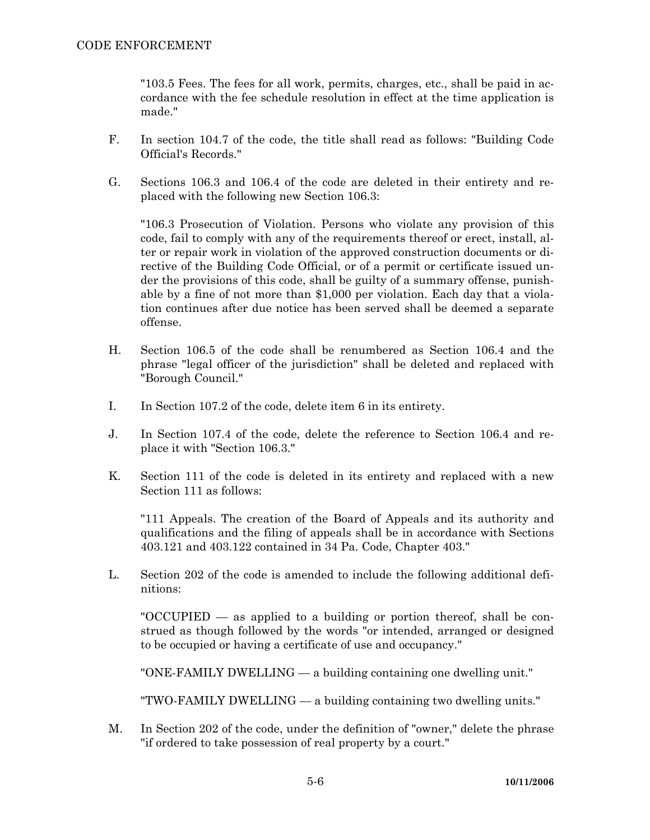"103.5 Fees. The fees for all work, permits, charges, etc., shall be paid in accordance with the fee schedule resolution in effect at the time application is made."

- F. In section 104.7 of the code, the title shall read as follows: "Building Code Official's Records."
- G. Sections 106.3 and 106.4 of the code are deleted in their entirety and replaced with the following new Section 106.3:

 "106.3 Prosecution of Violation. Persons who violate any provision of this code, fail to comply with any of the requirements thereof or erect, install, alter or repair work in violation of the approved construction documents or directive of the Building Code Official, or of a permit or certificate issued under the provisions of this code, shall be guilty of a summary offense, punishable by a fine of not more than \$1,000 per violation. Each day that a violation continues after due notice has been served shall be deemed a separate offense.

- H. Section 106.5 of the code shall be renumbered as Section 106.4 and the phrase "legal officer of the jurisdiction" shall be deleted and replaced with "Borough Council."
- I. In Section 107.2 of the code, delete item 6 in its entirety.
- J. In Section 107.4 of the code, delete the reference to Section 106.4 and replace it with "Section 106.3."
- K. Section 111 of the code is deleted in its entirety and replaced with a new Section 111 as follows:

 "111 Appeals. The creation of the Board of Appeals and its authority and qualifications and the filing of appeals shall be in accordance with Sections 403.121 and 403.122 contained in 34 Pa. Code, Chapter 403."

 L. Section 202 of the code is amended to include the following additional definitions:

 "OCCUPIED — as applied to a building or portion thereof, shall be construed as though followed by the words "or intended, arranged or designed to be occupied or having a certificate of use and occupancy."

"ONE-FAMILY DWELLING — a building containing one dwelling unit."

"TWO-FAMILY DWELLING — a building containing two dwelling units."

 M. In Section 202 of the code, under the definition of "owner," delete the phrase "if ordered to take possession of real property by a court."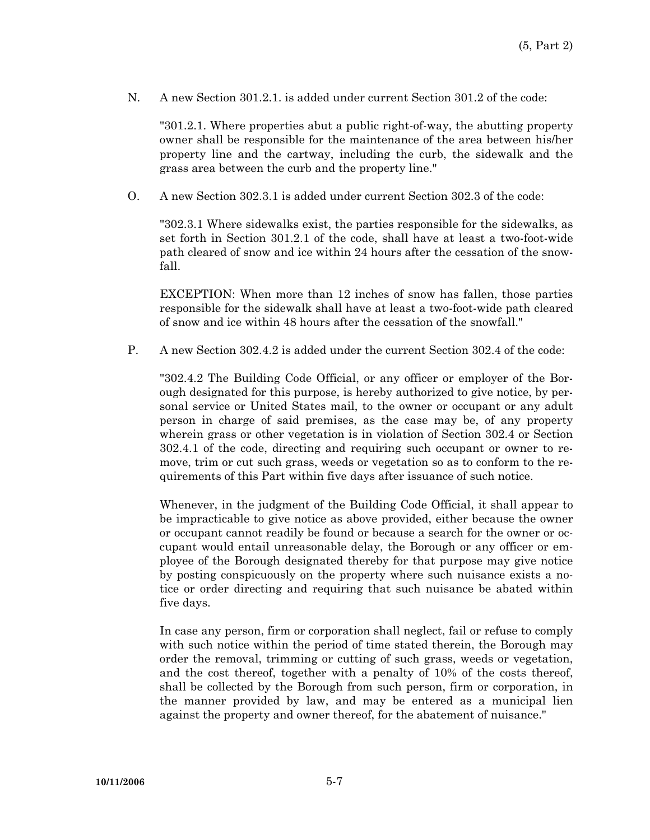N. A new Section 301.2.1. is added under current Section 301.2 of the code:

 "301.2.1. Where properties abut a public right-of-way, the abutting property owner shall be responsible for the maintenance of the area between his/her property line and the cartway, including the curb, the sidewalk and the grass area between the curb and the property line."

O. A new Section 302.3.1 is added under current Section 302.3 of the code:

 "302.3.1 Where sidewalks exist, the parties responsible for the sidewalks, as set forth in Section 301.2.1 of the code, shall have at least a two-foot-wide path cleared of snow and ice within 24 hours after the cessation of the snowfall.

 EXCEPTION: When more than 12 inches of snow has fallen, those parties responsible for the sidewalk shall have at least a two-foot-wide path cleared of snow and ice within 48 hours after the cessation of the snowfall."

P. A new Section 302.4.2 is added under the current Section 302.4 of the code:

 "302.4.2 The Building Code Official, or any officer or employer of the Borough designated for this purpose, is hereby authorized to give notice, by personal service or United States mail, to the owner or occupant or any adult person in charge of said premises, as the case may be, of any property wherein grass or other vegetation is in violation of Section 302.4 or Section 302.4.1 of the code, directing and requiring such occupant or owner to remove, trim or cut such grass, weeds or vegetation so as to conform to the requirements of this Part within five days after issuance of such notice.

 Whenever, in the judgment of the Building Code Official, it shall appear to be impracticable to give notice as above provided, either because the owner or occupant cannot readily be found or because a search for the owner or occupant would entail unreasonable delay, the Borough or any officer or employee of the Borough designated thereby for that purpose may give notice by posting conspicuously on the property where such nuisance exists a notice or order directing and requiring that such nuisance be abated within five days.

 In case any person, firm or corporation shall neglect, fail or refuse to comply with such notice within the period of time stated therein, the Borough may order the removal, trimming or cutting of such grass, weeds or vegetation, and the cost thereof, together with a penalty of 10% of the costs thereof, shall be collected by the Borough from such person, firm or corporation, in the manner provided by law, and may be entered as a municipal lien against the property and owner thereof, for the abatement of nuisance."